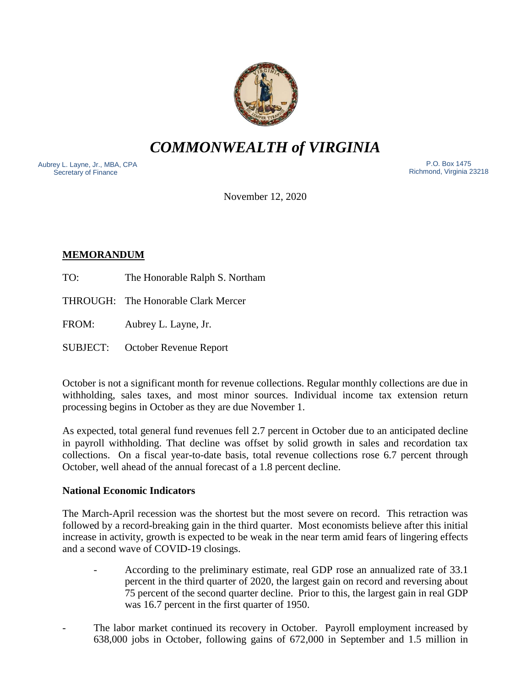

*COMMONWEALTH of VIRGINIA*

Aubrey L. Layne, Jr., MBA, CPA Secretary of Finance

 P.O. Box 1475 Richmond, Virginia 23218

November 12, 2020

# **MEMORANDUM**

- TO: The Honorable Ralph S. Northam
- THROUGH: The Honorable Clark Mercer

FROM: Aubrey L. Layne, Jr.

SUBJECT: October Revenue Report

October is not a significant month for revenue collections. Regular monthly collections are due in withholding, sales taxes, and most minor sources. Individual income tax extension return processing begins in October as they are due November 1.

As expected, total general fund revenues fell 2.7 percent in October due to an anticipated decline in payroll withholding. That decline was offset by solid growth in sales and recordation tax collections. On a fiscal year-to-date basis, total revenue collections rose 6.7 percent through October, well ahead of the annual forecast of a 1.8 percent decline.

### **National Economic Indicators**

The March-April recession was the shortest but the most severe on record. This retraction was followed by a record-breaking gain in the third quarter. Most economists believe after this initial increase in activity, growth is expected to be weak in the near term amid fears of lingering effects and a second wave of COVID-19 closings.

- According to the preliminary estimate, real GDP rose an annualized rate of 33.1 percent in the third quarter of 2020, the largest gain on record and reversing about 75 percent of the second quarter decline. Prior to this, the largest gain in real GDP was 16.7 percent in the first quarter of 1950.
- The labor market continued its recovery in October. Payroll employment increased by 638,000 jobs in October, following gains of 672,000 in September and 1.5 million in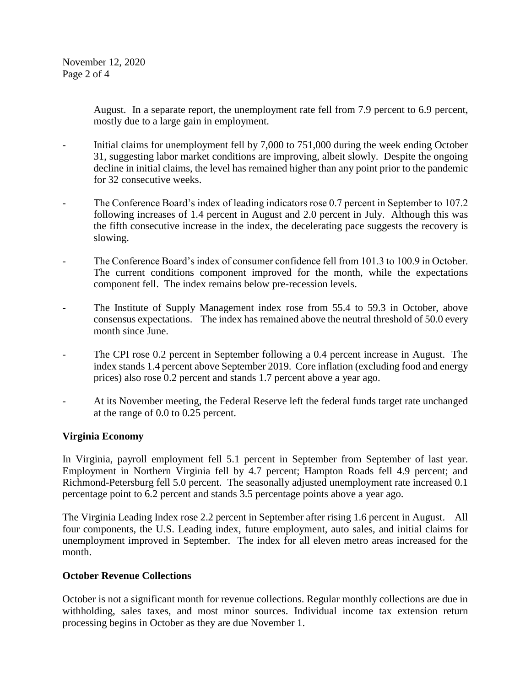August. In a separate report, the unemployment rate fell from 7.9 percent to 6.9 percent, mostly due to a large gain in employment.

- Initial claims for unemployment fell by 7,000 to 751,000 during the week ending October 31, suggesting labor market conditions are improving, albeit slowly. Despite the ongoing decline in initial claims, the level has remained higher than any point prior to the pandemic for 32 consecutive weeks.
- The Conference Board's index of leading indicators rose 0.7 percent in September to 107.2 following increases of 1.4 percent in August and 2.0 percent in July. Although this was the fifth consecutive increase in the index, the decelerating pace suggests the recovery is slowing.
- The Conference Board's index of consumer confidence fell from 101.3 to 100.9 in October. The current conditions component improved for the month, while the expectations component fell. The index remains below pre-recession levels.
- The Institute of Supply Management index rose from 55.4 to 59.3 in October, above consensus expectations. The index has remained above the neutral threshold of 50.0 every month since June.
- The CPI rose 0.2 percent in September following a 0.4 percent increase in August. The index stands 1.4 percent above September 2019. Core inflation (excluding food and energy prices) also rose 0.2 percent and stands 1.7 percent above a year ago.
- At its November meeting, the Federal Reserve left the federal funds target rate unchanged at the range of 0.0 to 0.25 percent.

## **Virginia Economy**

In Virginia, payroll employment fell 5.1 percent in September from September of last year. Employment in Northern Virginia fell by 4.7 percent; Hampton Roads fell 4.9 percent; and Richmond-Petersburg fell 5.0 percent. The seasonally adjusted unemployment rate increased 0.1 percentage point to 6.2 percent and stands 3.5 percentage points above a year ago.

The Virginia Leading Index rose 2.2 percent in September after rising 1.6 percent in August. All four components, the U.S. Leading index, future employment, auto sales, and initial claims for unemployment improved in September. The index for all eleven metro areas increased for the month.

### **October Revenue Collections**

October is not a significant month for revenue collections. Regular monthly collections are due in withholding, sales taxes, and most minor sources. Individual income tax extension return processing begins in October as they are due November 1.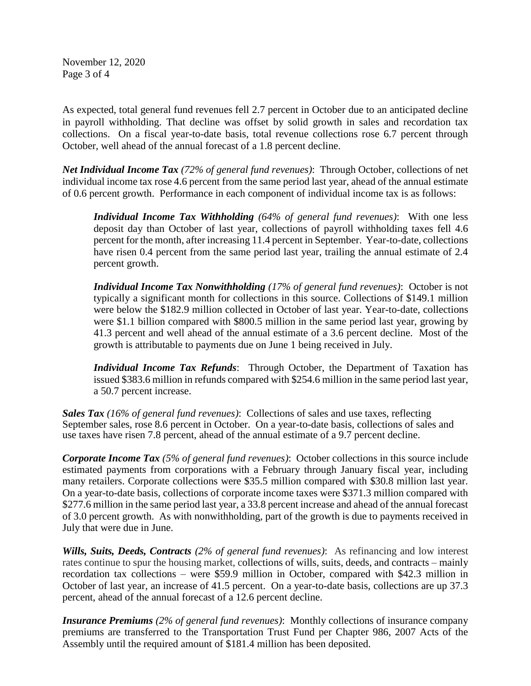November 12, 2020 Page 3 of 4

As expected, total general fund revenues fell 2.7 percent in October due to an anticipated decline in payroll withholding. That decline was offset by solid growth in sales and recordation tax collections. On a fiscal year-to-date basis, total revenue collections rose 6.7 percent through October, well ahead of the annual forecast of a 1.8 percent decline.

*Net Individual Income Tax (72% of general fund revenues)*: Through October, collections of net individual income tax rose 4.6 percent from the same period last year, ahead of the annual estimate of 0.6 percent growth. Performance in each component of individual income tax is as follows:

*Individual Income Tax Withholding (64% of general fund revenues)*: With one less deposit day than October of last year, collections of payroll withholding taxes fell 4.6 percent for the month, after increasing 11.4 percent in September. Year-to-date, collections have risen 0.4 percent from the same period last year, trailing the annual estimate of 2.4 percent growth.

*Individual Income Tax Nonwithholding (17% of general fund revenues)*: October is not typically a significant month for collections in this source. Collections of \$149.1 million were below the \$182.9 million collected in October of last year. Year-to-date, collections were \$1.1 billion compared with \$800.5 million in the same period last year, growing by 41.3 percent and well ahead of the annual estimate of a 3.6 percent decline. Most of the growth is attributable to payments due on June 1 being received in July.

*Individual Income Tax Refunds*: Through October, the Department of Taxation has issued \$383.6 million in refunds compared with \$254.6 million in the same period last year, a 50.7 percent increase.

*Sales Tax (16% of general fund revenues)*: Collections of sales and use taxes, reflecting September sales, rose 8.6 percent in October. On a year-to-date basis, collections of sales and use taxes have risen 7.8 percent, ahead of the annual estimate of a 9.7 percent decline.

*Corporate Income Tax (5% of general fund revenues)*: October collections in this source include estimated payments from corporations with a February through January fiscal year, including many retailers. Corporate collections were \$35.5 million compared with \$30.8 million last year. On a year-to-date basis, collections of corporate income taxes were \$371.3 million compared with \$277.6 million in the same period last year, a 33.8 percent increase and ahead of the annual forecast of 3.0 percent growth. As with nonwithholding, part of the growth is due to payments received in July that were due in June.

*Wills, Suits, Deeds, Contracts (2% of general fund revenues)*: As refinancing and low interest rates continue to spur the housing market, collections of wills, suits, deeds, and contracts – mainly recordation tax collections – were \$59.9 million in October, compared with \$42.3 million in October of last year, an increase of 41.5 percent. On a year-to-date basis, collections are up 37.3 percent, ahead of the annual forecast of a 12.6 percent decline.

*Insurance Premiums (2% of general fund revenues)*: Monthly collections of insurance company premiums are transferred to the Transportation Trust Fund per Chapter 986, 2007 Acts of the Assembly until the required amount of \$181.4 million has been deposited.